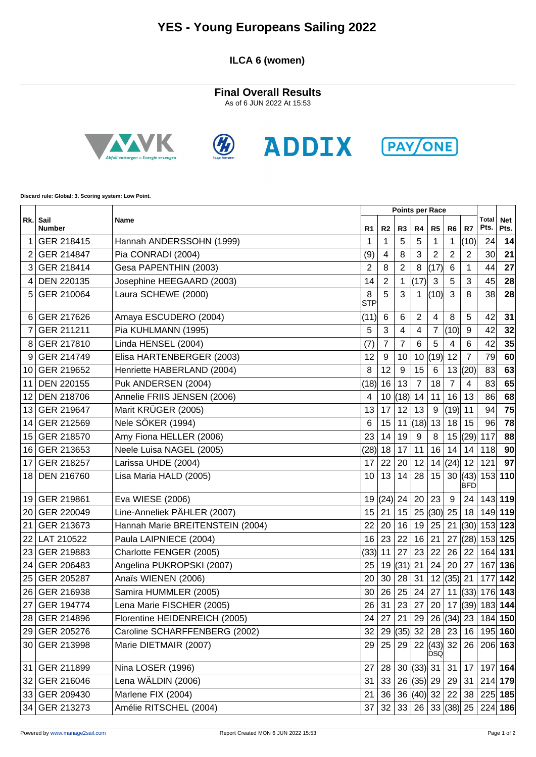## **YES - Young Europeans Sailing 2022**

#### **ILCA 6 (women)**

**Final Overall Results** As of 6 JUN 2022 At 15:53









**Discard rule: Global: 3. Scoring system: Low Point.**

|                 | Sail<br>Name<br><b>Number</b> |                                  | Points per Race |                |                |                |                                              |                |                |                      |                    |
|-----------------|-------------------------------|----------------------------------|-----------------|----------------|----------------|----------------|----------------------------------------------|----------------|----------------|----------------------|--------------------|
| Rk.             |                               |                                  | R1              | R <sub>2</sub> | R3             | R4             | R <sub>5</sub>                               | R <sub>6</sub> | R7             | <b>Total</b><br>Pts. | <b>Net</b><br>Pts. |
| 1               | GER 218415                    | Hannah ANDERSSOHN (1999)         | 1               | 1              | 5              | 5              | 1                                            | 1              | (10)           | 24                   | 14                 |
| 2               | GER 214847                    | Pia CONRADI (2004)               | (9)             | 4              | 8              | 3              | $\overline{c}$                               | $\overline{c}$ | 2              | 30                   | 21                 |
| 3               | GER 218414                    | Gesa PAPENTHIN (2003)            | 2               | 8              | $\overline{2}$ | 8              | (17)                                         | 6              | 1              | 44                   | 27                 |
| 4               | DEN 220135                    | Josephine HEEGAARD (2003)        | 14              | $\overline{2}$ | 1              | (17)           | 3                                            | 5              | 3              | 45                   | 28                 |
| 5               | GER 210064                    | Laura SCHEWE (2000)              | 8<br><b>STP</b> | 5              | 3              | 1              | (10)                                         | 3              | 8              | 38                   | 28                 |
| 6               | GER 217626                    | Amaya ESCUDERO (2004)            | (11)            | 6              | 6              | 2              | 4                                            | 8              | 5              | 42                   | 31                 |
| 7               | GER 211211                    | Pia KUHLMANN (1995)              | 5               | 3              | 4              | 4              | 7                                            | (10)           | 9              | 42                   | 32                 |
| 8               | GER 217810                    | Linda HENSEL (2004)              | (7)             | $\overline{7}$ | 7              | 6              | 5                                            | 4              | 6              | 42                   | 35                 |
| 9               | GER 214749                    | Elisa HARTENBERGER (2003)        | 12              | 9              | 10             | 10             | (19)                                         | 12             | $\overline{7}$ | 79                   | 60                 |
| 10              | GER 219652                    | Henriette HABERLAND (2004)       | 8               | 12             | 9              | 15             | 6                                            | 13             | (20)           | 83                   | 63                 |
| 11              | <b>DEN 220155</b>             | Puk ANDERSEN (2004)              | (18)            | 16             | 13             | $\overline{7}$ | 18                                           | $\overline{7}$ | $\overline{4}$ | 83                   | 65                 |
| 12              | <b>DEN 218706</b>             | Annelie FRIIS JENSEN (2006)      | 4               | 10             | (18)           | 14             | 11                                           | 16             | 13             | 86                   | 68                 |
| 13              | GER 219647                    | Marit KRÜGER (2005)              | 13              | 17             | 12             | 13             | 9                                            | (19)           | 11             | 94                   | 75                 |
| 14              | GER 212569                    | Nele SÖKER (1994)                | 6               | 15             | 11             | (18)           | 13                                           | 18             | 15             | 96                   | 78                 |
| 15              | GER 218570                    | Amy Fiona HELLER (2006)          | 23              | 14             | 19             | 9              | 8                                            | 15             | (29)           | 117                  | 88                 |
| 16              | GER 213653                    | Neele Luisa NAGEL (2005)         | (28)            | 18             | 17             | 11             | 16                                           | 14             | 14             | 118                  | 90                 |
| 17              | GER 218257                    | Larissa UHDE (2004)              | 17              | 22             | 20             | 12             | 14                                           | (24)           | 12             | 121                  | 97                 |
| 18              | <b>DEN 216760</b>             | Lisa Maria HALD (2005)           | 10              | 13             | 14             | 28             | 15                                           | 30             | (43)<br>BFD    |                      | $153$ 110          |
| 19              | GER 219861                    | Eva WIESE (2006)                 |                 | 19  (24)       | 24             | 20             | 23                                           | 9              | 24             |                      | $143$ 119          |
| 20              | GER 220049                    | Line-Anneliek PÄHLER (2007)      | 15              | 21             | 15             | 25             | (30)                                         | 25             | 18             |                      | 149 119            |
| 21              | GER 213673                    | Hannah Marie BREITENSTEIN (2004) | 22              | 20             | 16             | 19             | 25                                           | 21             | (30)           | 153 123              |                    |
| 22              | LAT 210522                    | Paula LAIPNIECE (2004)           | 16              | 23             | 22             | 16             | 21                                           | 27             | (28)           |                      | 153 125            |
| 23              | GER 219883                    | Charlotte FENGER (2005)          | (33)            | 11             | 27             | 23             | 22                                           | 26             | 22             |                      | 164 131            |
| 24              | GER 206483                    | Angelina PUKROPSKI (2007)        | 25              | 19             | (31)           | 21             | 24                                           | 20             | 27             | 167                  | 136                |
| 25              | GER 205287                    | Anaïs WIENEN (2006)              | 20              | 30             | 28             | 31             | 12                                           | (35)           | 21             | 177                  | 142                |
| 26 <sup>1</sup> | GER 216938                    | Samira HUMMLER (2005)            | 30              | 26             | 25             | 24             | 27                                           | 11             | (33)           |                      | 176 143            |
| 27              | GER 194774                    | Lena Marie FISCHER (2005)        | 26              | 31             | 23             | 27             | 20                                           |                | 17  (39)       |                      | 183 144            |
| 28              | GER 214896                    | Florentine HEIDENREICH (2005)    | 24              | 27             | 21             | 29             |                                              | 26  (34)       | 23             |                      | 184 150            |
|                 | 29 GER 205276                 | Caroline SCHARFFENBERG (2002)    | 32              | 29             | (35) 32        |                | 28                                           | 23             | 16             |                      | 195 160            |
|                 | 30 GER 213998                 | Marie DIETMAIR (2007)            |                 | 29 25          |                |                | $29 \mid 22 \mid (43) \mid 32$<br><b>DSQ</b> |                | 26             | $206$ 163            |                    |
| 31              | GER 211899                    | Nina LOSER (1996)                | 27              | 28             |                | 30   (33)   31 |                                              | 31             | 17             |                      | 197 164            |
|                 | 32 GER 216046                 | Lena WÄLDIN (2006)               | 31              | 33             |                | 26  (35)  29   |                                              | 29             | 31             |                      | $214$ 179          |
|                 | 33 GER 209430                 | Marlene FIX (2004)               | 21              | 36             |                | 36  (40)  32   |                                              | 22             | 38             |                      | 225 185            |
|                 | 34 GER 213273                 | Amélie RITSCHEL (2004)           | 37              | 32             | 33             | 26             |                                              | 33   (38)   25 |                |                      | $224$ 186          |